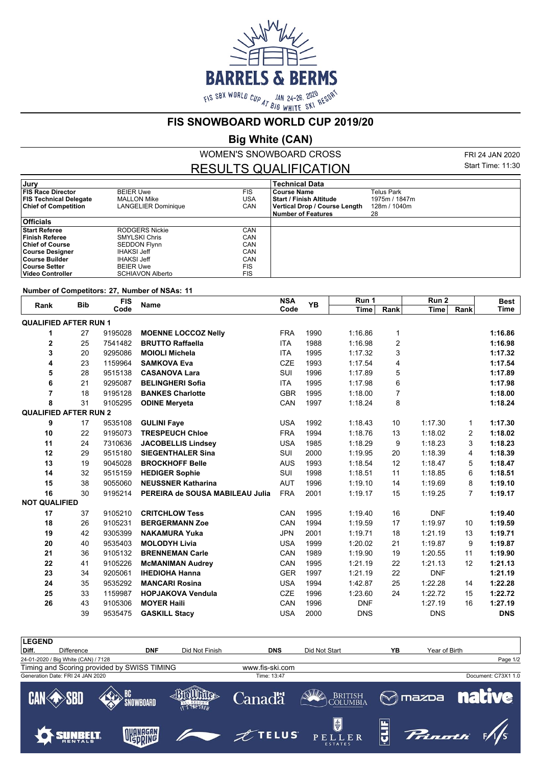

**FIS SNOWBOARD WORLD CUP 2019/20**

## **Big White (CAN)**

WOMEN'S SNOWBOARD CROSS RESULTS QUALIFICATION

FRI 24 JAN 2020 Start Time: 11:30

| Jury                          |                            |            | <b>Technical Data</b>         |               |
|-------------------------------|----------------------------|------------|-------------------------------|---------------|
| <b>FIS Race Director</b>      | <b>BEIER Uwe</b>           | <b>FIS</b> | <b>Course Name</b>            | Telus Park    |
| <b>FIS Technical Delegate</b> | <b>MALLON Mike</b>         | <b>USA</b> | l Start / Finish Altitude     | 1975m / 1847m |
| <b>Chief of Competition</b>   | <b>LANGELIER Dominique</b> | CAN        | Vertical Drop / Course Length | 128m / 1040m  |
|                               |                            |            | <b>Number of Features</b>     | 28            |
| <b>Officials</b>              |                            |            |                               |               |
| <b>Start Referee</b>          | RODGERS Nickie             | CAN        |                               |               |
| <b>Finish Referee</b>         | <b>SMYLSKI Chris</b>       | CAN        |                               |               |
| <b>Chief of Course</b>        | <b>SEDDON Flynn</b>        | CAN        |                               |               |
| Course Designer               | <b>IHAKSI Jeff</b>         | CAN        |                               |               |
| Course Builder                | <b>IHAKSI Jeff</b>         | CAN        |                               |               |
| Course Setter                 | <b>BEIER Uwe</b>           | <b>FIS</b> |                               |               |
| Video Controller              | <b>SCHIAVON Alberto</b>    | FIS        |                               |               |

## **Number of Competitors: 27, Number of NSAs: 11**

| Rank                         | <b>Bib</b> | <b>FIS</b><br>Code | <b>Name</b>                     | <b>NSA</b><br>Code | YB   | Run 1       |                | Run <sub>2</sub> |                | <b>Best</b> |
|------------------------------|------------|--------------------|---------------------------------|--------------------|------|-------------|----------------|------------------|----------------|-------------|
|                              |            |                    |                                 |                    |      | <b>Time</b> | Rank           | <b>Time</b>      | Rank           | <b>Time</b> |
| <b>QUALIFIED AFTER RUN 1</b> |            |                    |                                 |                    |      |             |                |                  |                |             |
| 1                            | 27         | 9195028            | <b>MOENNE LOCCOZ Nelly</b>      | <b>FRA</b>         | 1990 | 1:16.86     | $\mathbf{1}$   |                  |                | 1:16.86     |
| 2                            | 25         | 7541482            | <b>BRUTTO Raffaella</b>         | <b>ITA</b>         | 1988 | 1:16.98     | 2              |                  |                | 1:16.98     |
| 3                            | 20         | 9295086            | <b>MOIOLI Michela</b>           | <b>ITA</b>         | 1995 | 1:17.32     | 3              |                  |                | 1:17.32     |
| 4                            | 23         | 1159964            | <b>SAMKOVA Eva</b>              | <b>CZE</b>         | 1993 | 1:17.54     | 4              |                  |                | 1:17.54     |
| 5                            | 28         | 9515138            | <b>CASANOVA Lara</b>            | SUI                | 1996 | 1:17.89     | 5              |                  |                | 1:17.89     |
| 6                            | 21         | 9295087            | <b>BELINGHERI Sofia</b>         | <b>ITA</b>         | 1995 | 1:17.98     | 6              |                  |                | 1:17.98     |
| 7                            | 18         | 9195128            | <b>BANKES Charlotte</b>         | <b>GBR</b>         | 1995 | 1:18.00     | $\overline{7}$ |                  |                | 1:18.00     |
| 8                            | 31         | 9105295            | <b>ODINE Meryeta</b>            | CAN                | 1997 | 1:18.24     | 8              |                  |                | 1:18.24     |
| <b>QUALIFIED AFTER RUN 2</b> |            |                    |                                 |                    |      |             |                |                  |                |             |
| 9                            | 17         | 9535108            | <b>GULINI Fave</b>              | <b>USA</b>         | 1992 | 1:18.43     | 10             | 1:17.30          | 1              | 1:17.30     |
| 10                           | 22         | 9195073            | <b>TRESPEUCH Chloe</b>          | <b>FRA</b>         | 1994 | 1:18.76     | 13             | 1:18.02          | $\overline{2}$ | 1:18.02     |
| 11                           | 24         | 7310636            | <b>JACOBELLIS Lindsey</b>       | <b>USA</b>         | 1985 | 1:18.29     | 9              | 1:18.23          | 3              | 1:18.23     |
| 12                           | 29         | 9515180            | <b>SIEGENTHALER Sina</b>        | SUI                | 2000 | 1:19.95     | 20             | 1:18.39          | 4              | 1:18.39     |
| 13                           | 19         | 9045028            | <b>BROCKHOFF Belle</b>          | <b>AUS</b>         | 1993 | 1:18.54     | 12             | 1:18.47          | 5              | 1:18.47     |
| 14                           | 32         | 9515159            | <b>HEDIGER Sophie</b>           | <b>SUI</b>         | 1998 | 1:18.51     | 11             | 1:18.85          | 6              | 1:18.51     |
| 15                           | 38         | 9055060            | <b>NEUSSNER Katharina</b>       | <b>AUT</b>         | 1996 | 1:19.10     | 14             | 1:19.69          | 8              | 1:19.10     |
| 16                           | 30         | 9195214            | PEREIRA de SOUSA MABILEAU Julia | <b>FRA</b>         | 2001 | 1:19.17     | 15             | 1:19.25          | $\overline{7}$ | 1:19.17     |
| <b>NOT QUALIFIED</b>         |            |                    |                                 |                    |      |             |                |                  |                |             |
| 17                           | 37         | 9105210            | <b>CRITCHLOW Tess</b>           | CAN                | 1995 | 1:19.40     | 16             | <b>DNF</b>       |                | 1:19.40     |
| 18                           | 26         | 9105231            | <b>BERGERMANN Zoe</b>           | CAN                | 1994 | 1:19.59     | 17             | 1:19.97          | 10             | 1:19.59     |
| 19                           | 42         | 9305399            | <b>NAKAMURA Yuka</b>            | <b>JPN</b>         | 2001 | 1:19.71     | 18             | 1:21.19          | 13             | 1:19.71     |
| 20                           | 40         | 9535403            | <b>MOLODYH Livia</b>            | <b>USA</b>         | 1999 | 1:20.02     | 21             | 1:19.87          | 9              | 1:19.87     |
| 21                           | 36         | 9105132            | <b>BRENNEMAN Carle</b>          | CAN                | 1989 | 1:19.90     | 19             | 1:20.55          | 11             | 1:19.90     |
| 22                           | 41         | 9105226            | <b>McMANIMAN Audrey</b>         | CAN                | 1995 | 1:21.19     | 22             | 1:21.13          | 12             | 1:21.13     |
| 23                           | 34         | 9205061            | <b>IHEDIOHA Hanna</b>           | <b>GER</b>         | 1997 | 1:21.19     | 22             | <b>DNF</b>       |                | 1:21.19     |
| 24                           | 35         | 9535292            | <b>MANCARI Rosina</b>           | <b>USA</b>         | 1994 | 1:42.87     | 25             | 1:22.28          | 14             | 1:22.28     |
| 25                           | 33         | 1159987            | <b>HOPJAKOVA Vendula</b>        | <b>CZE</b>         | 1996 | 1:23.60     | 24             | 1:22.72          | 15             | 1:22.72     |
| 26                           | 43         | 9105306            | <b>MOYER Haili</b>              | CAN                | 1996 | <b>DNF</b>  |                | 1:27.19          | 16             | 1:27.19     |
|                              | 39         | 9535475            | <b>GASKILL Stacy</b>            | <b>USA</b>         | 2000 | <b>DNS</b>  |                | <b>DNS</b>       |                | <b>DNS</b>  |